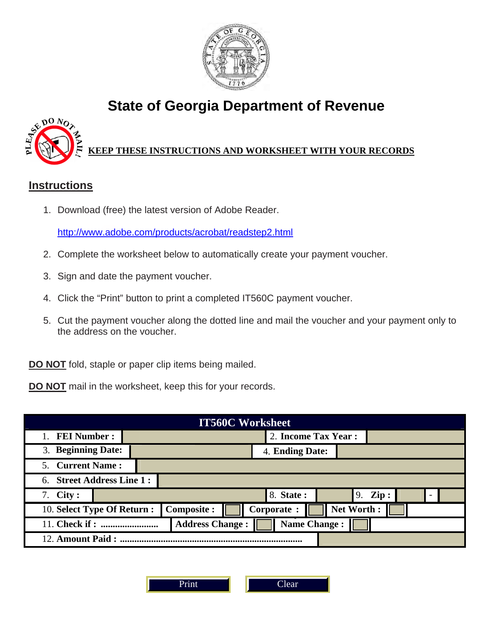

# **State of Georgia Department of Revenue**



## **KEEP THESE INSTRUCTIONS AND WORKSHEET WITH YOUR RECORDS**

## **Instructions**

1. Download (free) the latest version of Adobe Reader.

http://www.adobe.com/products/acrobat/readstep2.html

- 2. Complete the worksheet below to automatically create your payment voucher.
- 3. Sign and date the payment voucher.
- 4. Click the "Print" button to print a completed IT560C payment voucher.
- 5. Cut the payment voucher along the dotted line and mail the voucher and your payment only to the address on the voucher.

**DO NOT** fold, staple or paper clip items being mailed.

**DO NOT** mail in the worksheet, keep this for your records.

| <b>IT560C Worksheet</b>                                                       |  |                      |  |                 |  |                       |  |  |  |  |
|-------------------------------------------------------------------------------|--|----------------------|--|-----------------|--|-----------------------|--|--|--|--|
| 1. FEI Number:                                                                |  | 2. Income Tax Year : |  |                 |  |                       |  |  |  |  |
| 3. Beginning Date:                                                            |  |                      |  | 4. Ending Date: |  |                       |  |  |  |  |
| 5. Current Name:                                                              |  |                      |  |                 |  |                       |  |  |  |  |
| 6. Street Address Line 1:                                                     |  |                      |  |                 |  |                       |  |  |  |  |
| 7. $City:$                                                                    |  |                      |  | 8. State:       |  | $\mathbf{Zip}:$<br>9. |  |  |  |  |
| Net Worth:<br><b>Composite:</b><br>10. Select Type Of Return :<br>Corporate : |  |                      |  |                 |  |                       |  |  |  |  |
| <b>Address Change:</b><br><b>Name Change:</b><br>11. Check if:                |  |                      |  |                 |  |                       |  |  |  |  |
| 12. Amount Paid:                                                              |  |                      |  |                 |  |                       |  |  |  |  |